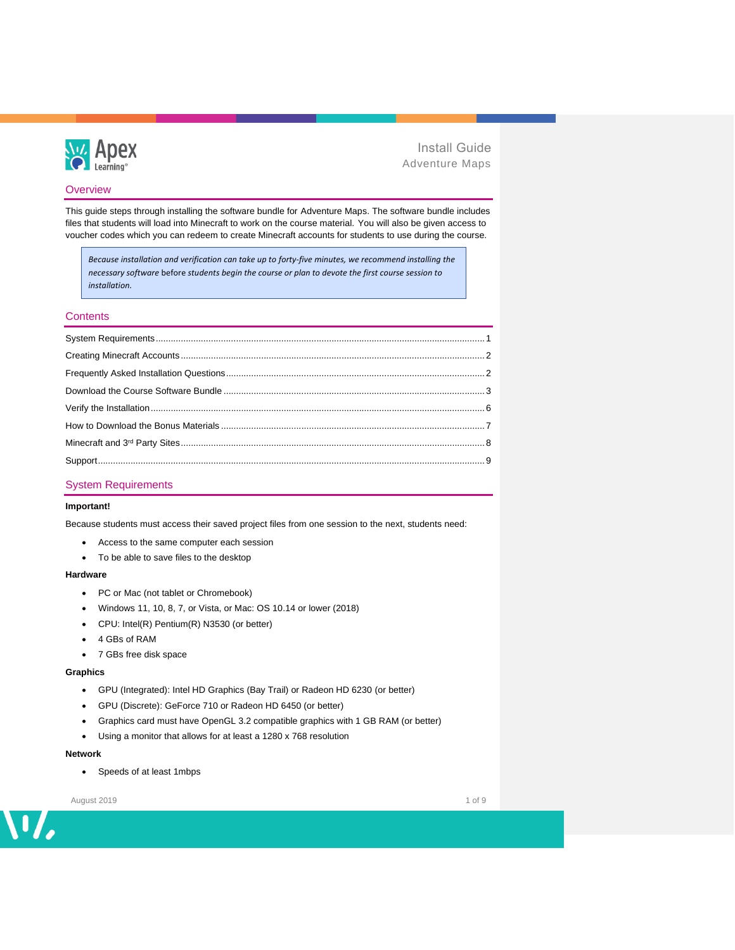

## **Overview**

This guide steps through installing the software bundle for Adventure Maps. The software bundle includes files that students will load into Minecraft to work on the course material. You will also be given access to voucher codes which you can redeem to create Minecraft accounts for students to use during the course.

*Because installation and verification can take up to forty-five minutes, we recommend installing the necessary software* before *students begin the course or plan to devote the first course session to installation.*

## **Contents**

## <span id="page-0-0"></span>System Requirements

## **Important!**

Because students must access their saved project files from one session to the next, students need:

- Access to the same computer each session
- To be able to save files to the desktop

#### **Hardware**

- PC or Mac (not tablet or Chromebook)
- Windows 11, 10, 8, 7, or Vista, or Mac: OS 10.14 or lower (2018)
- CPU: Intel(R) Pentium(R) N3530 (or better)
- 4 GBs of RAM
- 7 GBs free disk space

#### **Graphics**

- GPU (Integrated): Intel HD Graphics (Bay Trail) or Radeon HD 6230 (or better)
- GPU (Discrete): GeForce 710 or Radeon HD 6450 (or better)
- Graphics card must have OpenGL 3.2 compatible graphics with 1 GB RAM (or better)
- Using a monitor that allows for at least a 1280 x 768 resolution

### **Network**

• Speeds of at least 1mbps

August 2019 1 of 9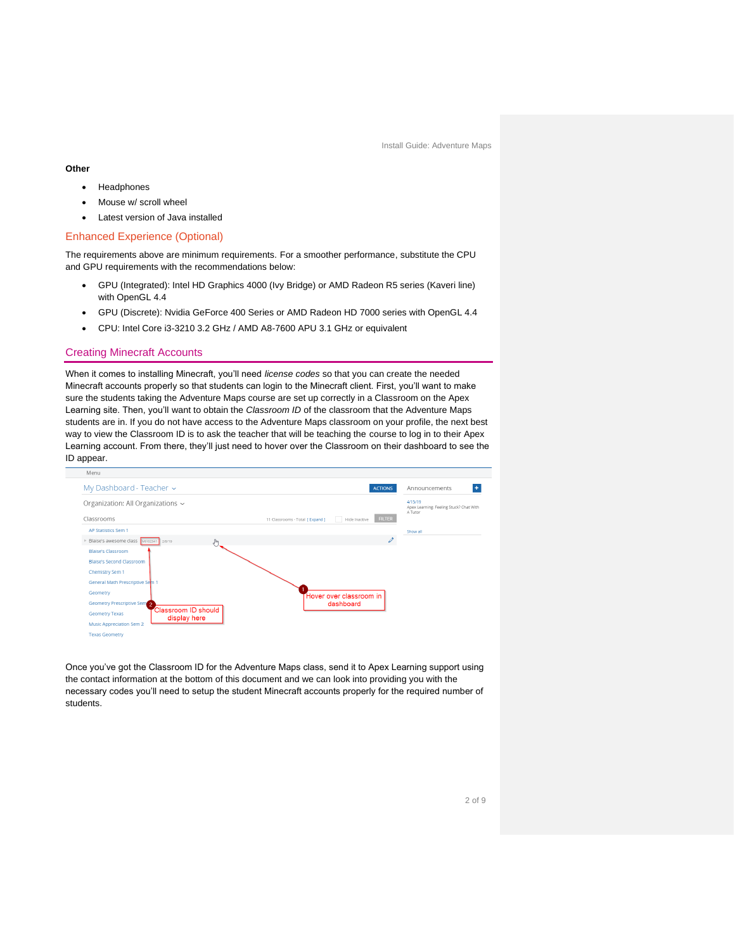#### **Other**

- **Headphones**
- Mouse w/ scroll wheel
- Latest version of Java installed

### Enhanced Experience (Optional)

The requirements above are minimum requirements. For a smoother performance, substitute the CPU and GPU requirements with the recommendations below:

- GPU (Integrated): Intel HD Graphics 4000 (Ivy Bridge) or AMD Radeon R5 series (Kaveri line) with OpenGL 4.4
- GPU (Discrete): Nvidia GeForce 400 Series or AMD Radeon HD 7000 series with OpenGL 4.4
- CPU: Intel Core i3-3210 3.2 GHz / AMD A8-7600 APU 3.1 GHz or equivalent

### <span id="page-1-0"></span>Creating Minecraft Accounts

When it comes to installing Minecraft, you'll need *license codes* so that you can create the needed Minecraft accounts properly so that students can login to the Minecraft client. First, you'll want to make sure the students taking the Adventure Maps course are set up correctly in a Classroom on the Apex Learning site. Then, you'll want to obtain the *Classroom ID* of the classroom that the Adventure Maps students are in. If you do not have access to the Adventure Maps classroom on your profile, the next best way to view the Classroom ID is to ask the teacher that will be teaching the course to log in to their Apex Learning account. From there, they'll just need to hover over the Classroom on their dashboard to see the ID appear.



<span id="page-1-1"></span>Once you've got the Classroom ID for the Adventure Maps class, send it to Apex Learning support using the contact information at the bottom of this document and we can look into providing you with the necessary codes you'll need to setup the student Minecraft accounts properly for the required number of students.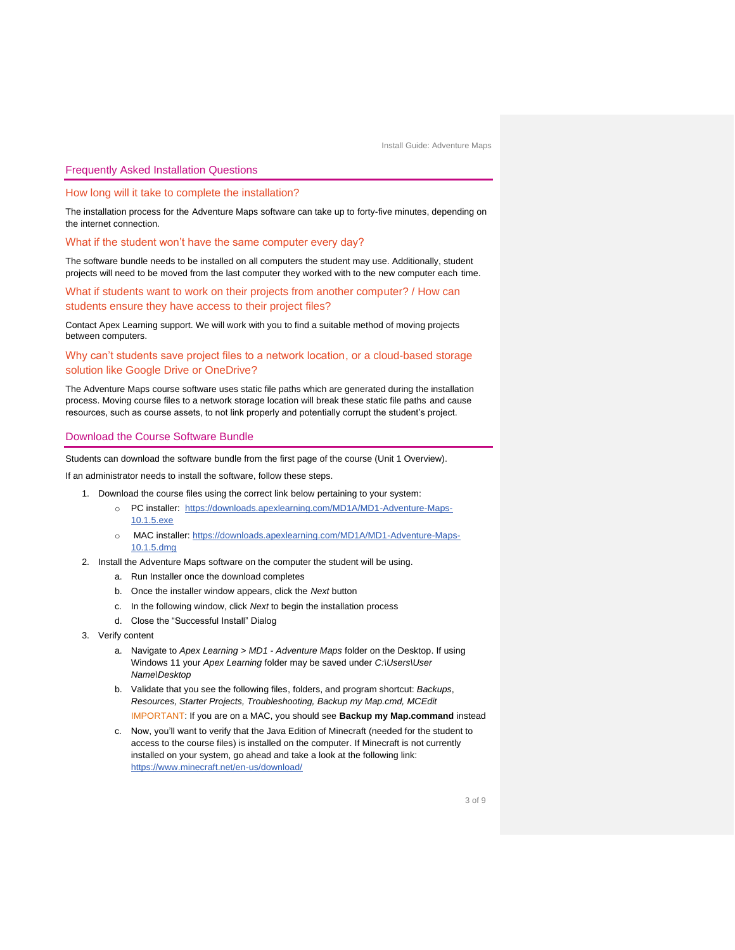#### Frequently Asked Installation Questions

How long will it take to complete the installation?

The installation process for the Adventure Maps software can take up to forty-five minutes, depending on the internet connection.

What if the student won't have the same computer every day?

The software bundle needs to be installed on all computers the student may use. Additionally, student projects will need to be moved from the last computer they worked with to the new computer each time.

What if students want to work on their projects from another computer? / How can students ensure they have access to their project files?

Contact Apex Learning support. We will work with you to find a suitable method of moving projects between computers.

Why can't students save project files to a network location, or a cloud-based storage solution like Google Drive or OneDrive?

The Adventure Maps course software uses static file paths which are generated during the installation process. Moving course files to a network storage location will break these static file paths and cause resources, such as course assets, to not link properly and potentially corrupt the student's project.

### <span id="page-2-0"></span>Download the Course Software Bundle

Students can download the software bundle from the first page of the course (Unit 1 Overview).

If an administrator needs to install the software, follow these steps.

- 1. Download the course files using the correct link below pertaining to your system:
	- o PC installer: [https://downloads.apexlearning.com/MD1A/MD1-Adventure-Maps-](https://downloads.apexlearning.com/MD1A/MD1-Adventure-Maps-10.1.5.exe)[10.1.5.exe](https://downloads.apexlearning.com/MD1A/MD1-Adventure-Maps-10.1.5.exe)
	- o MAC installer: [https://downloads.apexlearning.com/MD1A/MD1-Adventure-Maps-](https://downloads.apexlearning.com/MD1A/MD1-Adventure-Maps-10.1.5.dmg)[10.1.5.dmg](https://downloads.apexlearning.com/MD1A/MD1-Adventure-Maps-10.1.5.dmg)
- 2. Install the Adventure Maps software on the computer the student will be using.
	- a. Run Installer once the download completes
	- b. Once the installer window appears, click the *Next* button
	- c. In the following window, click *Next* to begin the installation process
	- d. Close the "Successful Install" Dialog
- 3. Verify content
	- a. Navigate to *Apex Learning > MD1 - Adventure Maps* folder on the Desktop. If using Windows 11 your *Apex Learning* folder may be saved under *C:\Users\User Name\Desktop*
	- b. Validate that you see the following files, folders, and program shortcut: *Backups*, *Resources, Starter Projects, Troubleshooting, Backup my Map.cmd, MCEdit*
		- IMPORTANT: If you are on a MAC, you should see **Backup my Map.command** instead
	- c. Now, you'll want to verify that the Java Edition of Minecraft (needed for the student to access to the course files) is installed on the computer. If Minecraft is not currently installed on your system, go ahead and take a look at the following link: <https://www.minecraft.net/en-us/download/>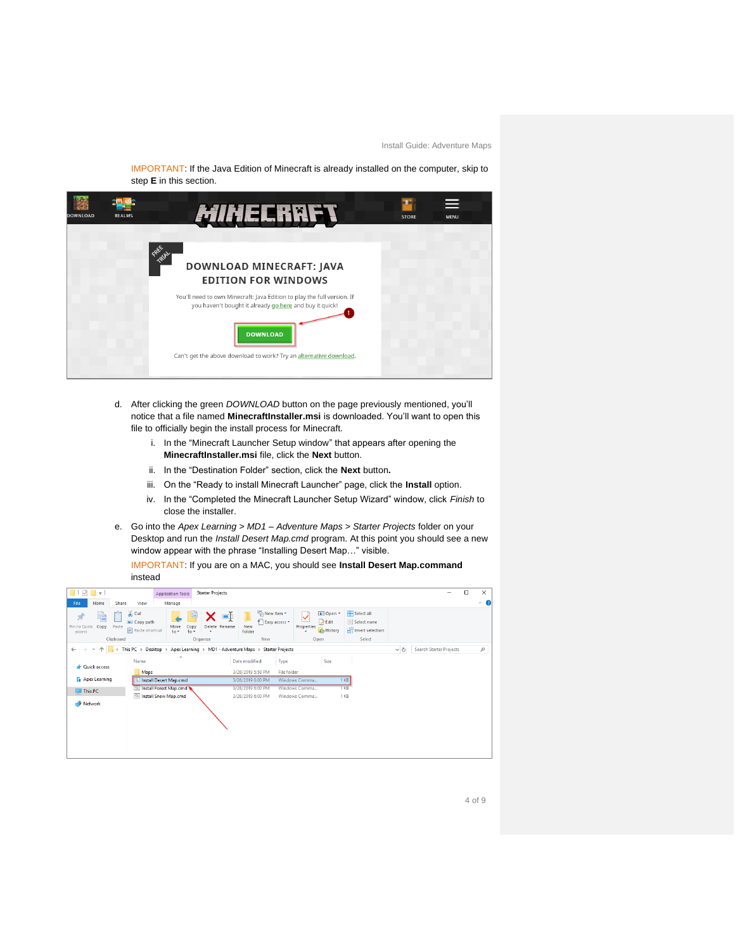IMPORTANT: If the Java Edition of Minecraft is already installed on the computer, skip to step **E** in this section.



- d. After clicking the green *DOWNLOAD* button on the page previously mentioned, you'll notice that a file named **MinecraftInstaller.msi** is downloaded. You'll want to open this file to officially begin the install process for Minecraft.
	- i. In the "Minecraft Launcher Setup window" that appears after opening the **MinecraftInstaller.msi** file, click the **Next** button.
	- ii. In the "Destination Folder" section, click the **Next** button**.**
	- iii. On the "Ready to install Minecraft Launcher" page, click the **Install** option.
	- iv. In the "Completed the Minecraft Launcher Setup Wizard" window, click *Finish* to close the installer.
- e. Go into the *Apex Learning > MD1 – Adventure Maps > Starter Projects* folder on your Desktop and run the *Install Desert Map.cmd* program. At this point you should see a new window appear with the phrase "Installing Desert Map…" visible.

IMPORTANT: If you are on a MAC, you should see **Install Desert Map.command** instead

| l ÷                                      |                                                               |                          | <b>Starter Projects</b>                                                     |                                                |                    |                                          |                                                           |          |                         | □ | $\times$            |
|------------------------------------------|---------------------------------------------------------------|--------------------------|-----------------------------------------------------------------------------|------------------------------------------------|--------------------|------------------------------------------|-----------------------------------------------------------|----------|-------------------------|---|---------------------|
|                                          |                                                               | <b>Application Tools</b> |                                                                             |                                                |                    |                                          |                                                           |          |                         |   |                     |
| File<br>Home                             | View<br><b>Share</b>                                          | Manage                   |                                                                             |                                                |                    |                                          |                                                           |          |                         |   | $\hat{\phantom{a}}$ |
| ŧ<br>×<br>Pin to Ouick<br>Copy<br>access | $\frac{1}{20}$ Cut<br>w- Copy path<br>Paste<br>Paste shortcut | Move<br>$to -$<br>$to -$ | $\blacksquare$<br>Delete Rename<br>Copy<br>٠                                | New item -<br>F Easy access -<br>New<br>folder | Properties         | Die Open *<br><b>Z</b> Edit<br>A History | Select all<br>HR Select none<br><b>Refinent</b> selection |          |                         |   |                     |
|                                          | Clipboard                                                     |                          | Organize                                                                    | New                                            | Open               |                                          | Select                                                    |          |                         |   |                     |
| $\rightarrow$<br>$\leftarrow$            | $\rightarrow$                                                 |                          | This PC > Desktop > Apex Learning > MD1 - Adventure Maps > Starter Projects |                                                |                    |                                          |                                                           | $\sim$ 0 | Search Starter Projects |   | $\mathcal{L}$       |
| <b>Quick access</b>                      | Name                                                          | ́                        |                                                                             | Date modified                                  | Type               | Size                                     |                                                           |          |                         |   |                     |
|                                          | Maps                                                          |                          |                                                                             | 3/28/2019 5:58 PM                              | <b>File folder</b> |                                          |                                                           |          |                         |   |                     |
| <b>晶</b> Apex Learning                   |                                                               | Install Desert Map.cmd   |                                                                             | 3/28/2019 6:00 PM                              | Windows Comma      | 1 <sub>KB</sub>                          |                                                           |          |                         |   |                     |
| $\Box$ This PC                           |                                                               | Install Forest Map.cmd   |                                                                             | 3/28/2019 6:00 PM                              | Windows Comma      | 1 KB                                     |                                                           |          |                         |   |                     |
|                                          |                                                               | Install Snow Map.cmd     |                                                                             | 3/28/2019 6:00 PM                              | Windows Comma      | 1 KB                                     |                                                           |          |                         |   |                     |
| Network                                  |                                                               |                          |                                                                             |                                                |                    |                                          |                                                           |          |                         |   |                     |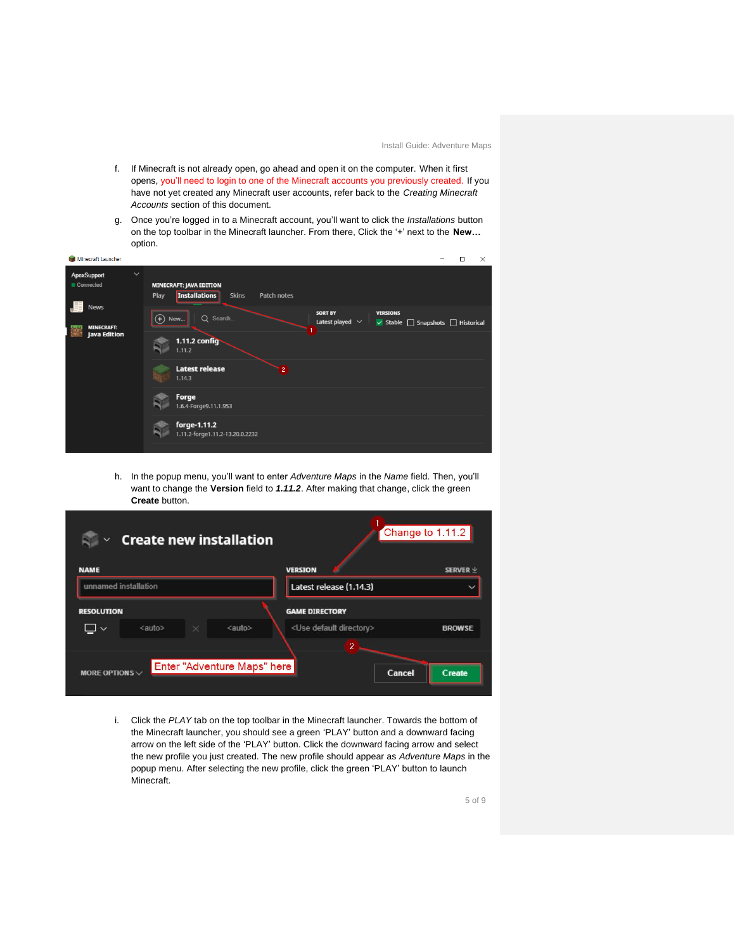- f. If Minecraft is not already open, go ahead and open it on the computer. When it first opens, you'll need to login to one of the Minecraft accounts you previously created. If you have not yet created any Minecraft user accounts, refer back to the *Creating Minecraft Accounts* section of this document.
- g. Once you're logged in to a Minecraft account, you'll want to click the *Installations* button on the top toolbar in the Minecraft launcher. From there, Click the '+' next to the **New…** option.

| Minecraft Launcher                              | $\Box$<br>$\times$                                                                                                               |
|-------------------------------------------------|----------------------------------------------------------------------------------------------------------------------------------|
| $\checkmark$<br><b>ApexSupport</b><br>Connected | <b>MINECRAFT: JAVA EDITION</b><br><b>Installations</b><br><b>Skins</b><br>Play<br>Patch notes                                    |
| <b>News</b><br><b>MINECRAFT:</b>                | <b>SORT BY</b><br><b>VERSIONS</b><br>$\bigoplus$<br>Q Search<br>New<br>Latest played $\vee$<br>√ Stable   Snapshots   Historical |
| Java Edition                                    | 1.11.2 config<br>1.11.2                                                                                                          |
|                                                 | <b>Latest release</b><br>$\overline{2}$<br>1.14.3                                                                                |
|                                                 | Forge<br>1.6.4-Forge9.11.1.953                                                                                                   |
|                                                 | forge-1.11.2<br>1.11.2-forge1.11.2-13.20.0.2232                                                                                  |
|                                                 |                                                                                                                                  |

h. In the popup menu, you'll want to enter *Adventure Maps* in the *Name* field. Then, you'll want to change the **Version** field to *1.11.2*. After making that change, click the green **Create** button.

| <b>Create new installation</b>                                                      | Change to 1.11.2                    |               |
|-------------------------------------------------------------------------------------|-------------------------------------|---------------|
| <b>NAME</b>                                                                         | <b>VERSION</b>                      | SERVER $\vee$ |
| unnamed installation                                                                | Latest release (1.14.3)             |               |
| <b>RESOLUTION</b>                                                                   | <b>GAME DIRECTORY</b>               |               |
| <auto><br/><auto><br/><math>\times</math><br/><math>\checkmark</math></auto></auto> | <use default="" directory=""></use> | <b>BROWSE</b> |
|                                                                                     | $\overline{2}$                      |               |
| Enter "Adventure Maps" here<br>MORE OPTIONS $\vee$                                  | Cancel                              | Create        |

i. Click the *PLAY* tab on the top toolbar in the Minecraft launcher. Towards the bottom of the Minecraft launcher, you should see a green 'PLAY' button and a downward facing arrow on the left side of the 'PLAY' button. Click the downward facing arrow and select the new profile you just created. The new profile should appear as *Adventure Maps* in the popup menu. After selecting the new profile, click the green 'PLAY' button to launch Minecraft.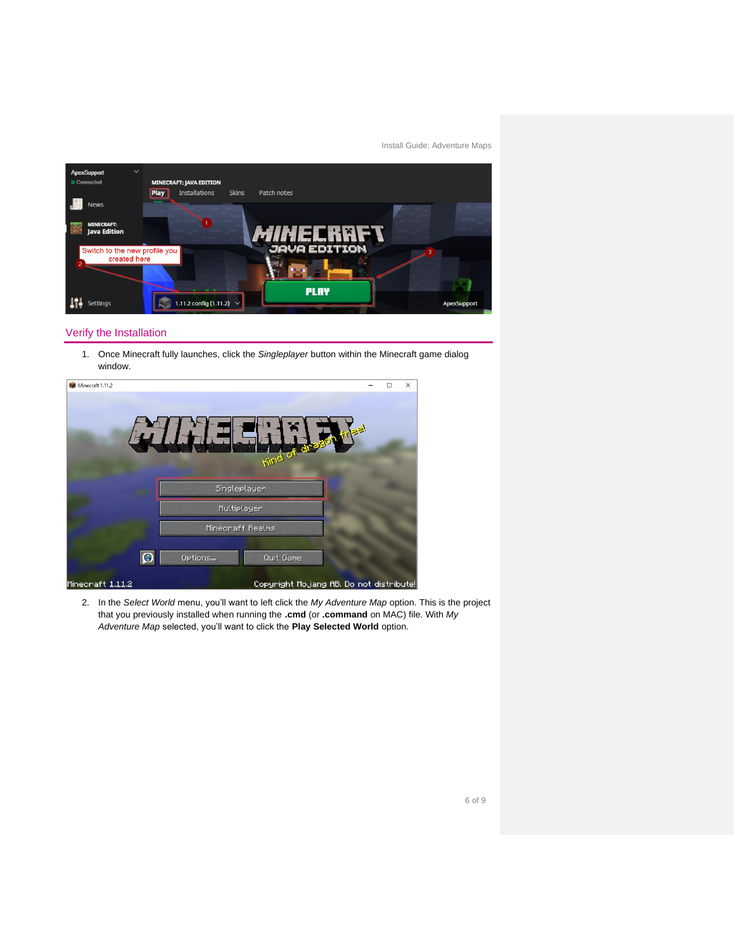

## <span id="page-5-0"></span>Verify the Installation

1. Once Minecraft fully launches, click the *Singleplayer* button within the Minecraft game dialog window.



2. In the *Select World* menu, you'll want to left click the *My Adventure Map* option. This is the project that you previously installed when running the **.cmd** (or **.command** on MAC) file. With *My Adventure Map* selected, you'll want to click the **Play Selected World** option.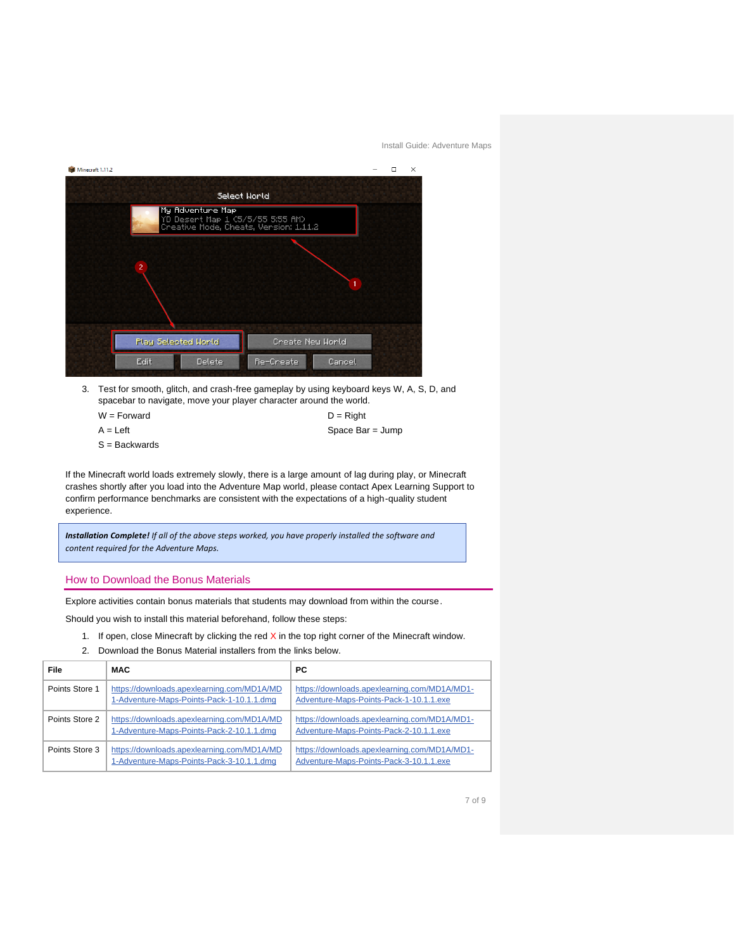

3. Test for smooth, glitch, and crash-free gameplay by using keyboard keys W, A, S, D, and spacebar to navigate, move your player character around the world.

| $W = Forward$ | $D =$ Right      |
|---------------|------------------|
| $A = Left$    | Space Bar = Jump |

 $S =$ Backwards

If the Minecraft world loads extremely slowly, there is a large amount of lag during play, or Minecraft crashes shortly after you load into the Adventure Map world, please contact Apex Learning Support to confirm performance benchmarks are consistent with the expectations of a high-quality student experience.

*Installation Complete! If all of the above steps worked, you have properly installed the software and content required for the Adventure Maps.*

### <span id="page-6-0"></span>How to Download the Bonus Materials

Explore activities contain bonus materials that students may download from within the course.

Should you wish to install this material beforehand, follow these steps:

- 1. If open, close Minecraft by clicking the red  $X$  in the top right corner of the Minecraft window.
- 2. Download the Bonus Material installers from the links below.

| File           | <b>MAC</b>                                                                              | РC                                                                                      |
|----------------|-----------------------------------------------------------------------------------------|-----------------------------------------------------------------------------------------|
| Points Store 1 | https://downloads.apexlearning.com/MD1A/MD<br>1-Adventure-Maps-Points-Pack-1-10.1.1.dmg | https://downloads.apexlearning.com/MD1A/MD1-<br>Adventure-Maps-Points-Pack-1-10.1.1.exe |
| Points Store 2 | https://downloads.apexlearning.com/MD1A/MD<br>1-Adventure-Maps-Points-Pack-2-10.1.1.dmg | https://downloads.apexlearning.com/MD1A/MD1-<br>Adventure-Maps-Points-Pack-2-10.1.1.exe |
| Points Store 3 | https://downloads.apexlearning.com/MD1A/MD<br>1-Adventure-Maps-Points-Pack-3-10.1.1.dmg | https://downloads.apexlearning.com/MD1A/MD1-<br>Adventure-Maps-Points-Pack-3-10.1.1.exe |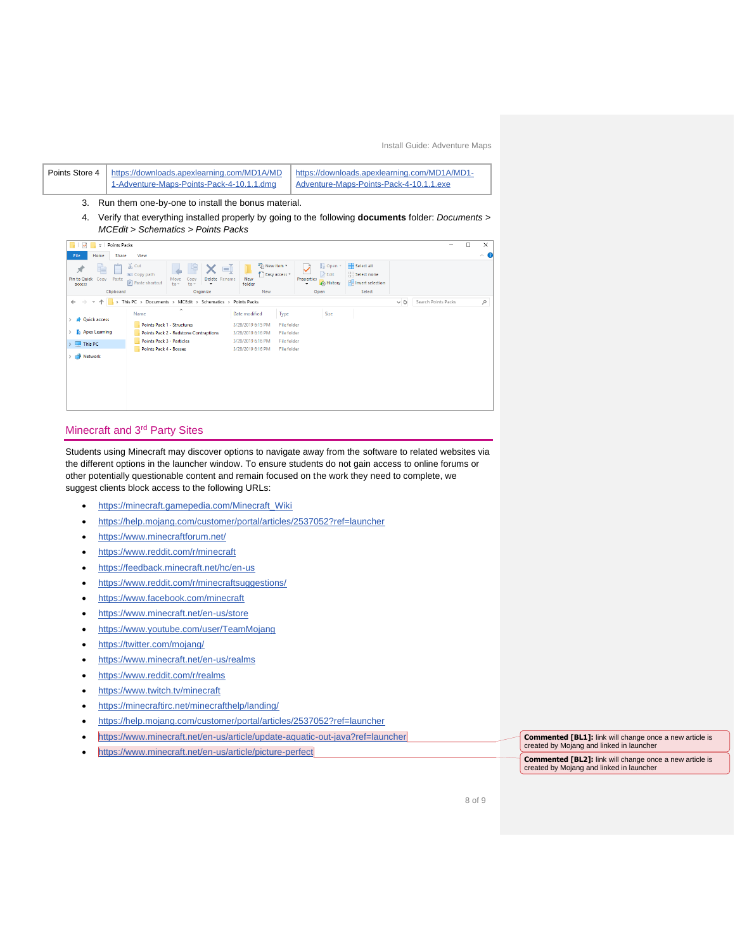

## <span id="page-7-0"></span>Minecraft and 3rd Party Sites

Students using Minecraft may discover options to navigate away from the software to related websites via the different options in the launcher window. To ensure students do not gain access to online forums or other potentially questionable content and remain focused on the work they need to complete, we suggest clients block access to the following URLs:

- [https://minecraft.gamepedia.com/Minecraft\\_Wiki](https://minecraft.gamepedia.com/Minecraft_Wiki)
- <https://help.mojang.com/customer/portal/articles/2537052?ref=launcher>
- <https://www.minecraftforum.net/>
- <https://www.reddit.com/r/minecraft>
- <https://feedback.minecraft.net/hc/en-us>
- <https://www.reddit.com/r/minecraftsuggestions/>
- <https://www.facebook.com/minecraft>
- <https://www.minecraft.net/en-us/store>
- <https://www.youtube.com/user/TeamMojang>
- <https://twitter.com/mojang/>
- <https://www.minecraft.net/en-us/realms>
- <https://www.reddit.com/r/realms>
- <https://www.twitch.tv/minecraft>
- <https://minecraftirc.net/minecrafthelp/landing/>
- <https://help.mojang.com/customer/portal/articles/2537052?ref=launcher>
- <https://www.minecraft.net/en-us/article/update-aquatic-out-java?ref=launcher>
- <https://www.minecraft.net/en-us/article/picture-perfect>

**Commented [BL1]:** link will change once a new article is created by Mojang and linked in launcher **Commented [BL2]:** link will change once a new article is created by Mojang and linked in launcher